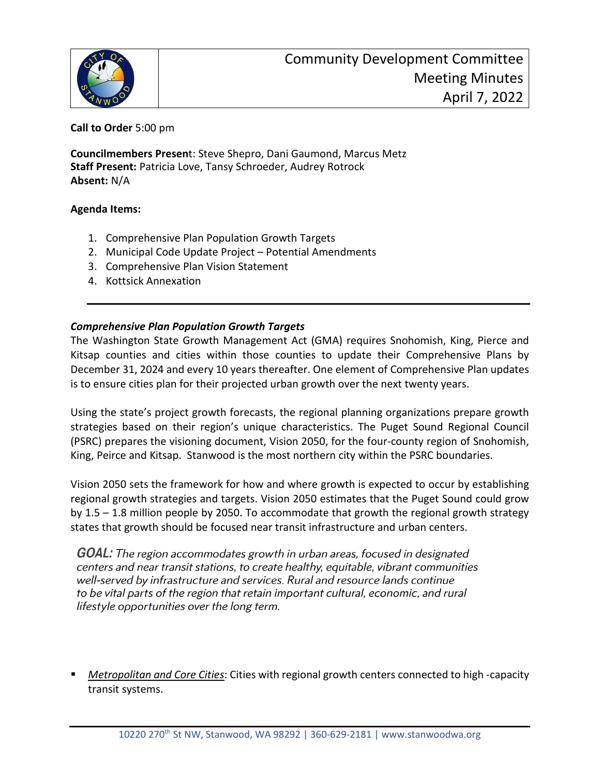

**Call to Order** 5:00 pm

**Councilmembers Presen**t: Steve Shepro, Dani Gaumond, Marcus Metz **Staff Present:** Patricia Love, Tansy Schroeder, Audrey Rotrock **Absent:** N/A

### **Agenda Items:**

- 1. Comprehensive Plan Population Growth Targets
- 2. Municipal Code Update Project Potential Amendments
- 3. Comprehensive Plan Vision Statement
- 4. Kottsick Annexation

### *Comprehensive Plan Population Growth Targets*

The Washington State Growth Management Act (GMA) requires Snohomish, King, Pierce and Kitsap counties and cities within those counties to update their Comprehensive Plans by December 31, 2024 and every 10 years thereafter. One element of Comprehensive Plan updates is to ensure cities plan for their projected urban growth over the next twenty years.

Using the state's project growth forecasts, the regional planning organizations prepare growth strategies based on their region's unique characteristics. The Puget Sound Regional Council (PSRC) prepares the visioning document, Vision 2050, for the four-county region of Snohomish, King, Peirce and Kitsap. Stanwood is the most northern city within the PSRC boundaries.

Vision 2050 sets the framework for how and where growth is expected to occur by establishing regional growth strategies and targets. Vision 2050 estimates that the Puget Sound could grow by 1.5 – 1.8 million people by 2050. To accommodate that growth the regional growth strategy states that growth should be focused near transit infrastructure and urban centers.

**GOAL:** The region accommodates growth in urban areas, focused in designated centers and near transit stations, to create healthy, equitable, vibrant communities well-served by infrastructure and services. Rural and resource lands continue to be vital parts of the region that retain important cultural, economic, and rural lifestyle opportunities over the long term.

 *Metropolitan and Core Cities*: Cities with regional growth centers connected to high -capacity transit systems.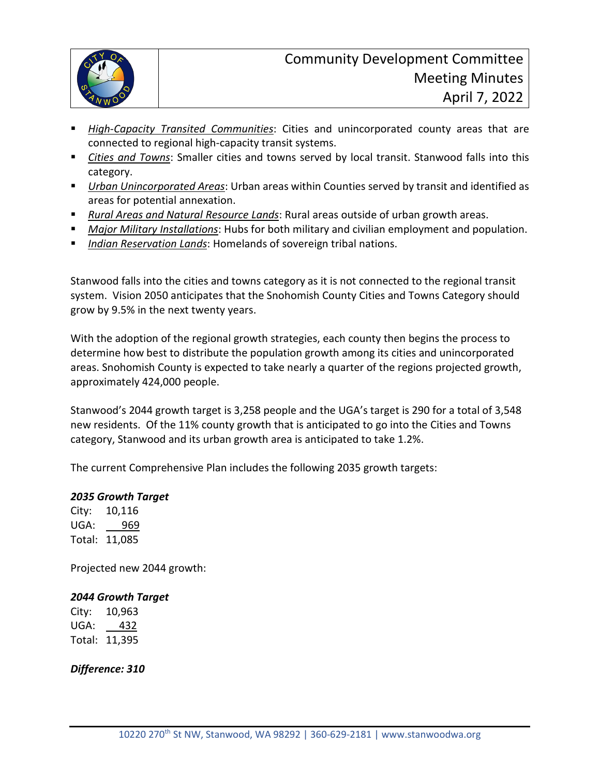

- *High-Capacity Transited Communities*: Cities and unincorporated county areas that are connected to regional high-capacity transit systems.
- *Cities and Towns*: Smaller cities and towns served by local transit. Stanwood falls into this category.
- *Urban Unincorporated Areas*: Urban areas within Counties served by transit and identified as areas for potential annexation.
- *Rural Areas and Natural Resource Lands*: Rural areas outside of urban growth areas.
- *Major Military Installations*: Hubs for both military and civilian employment and population.
- *Indian Reservation Lands*: Homelands of sovereign tribal nations.

Stanwood falls into the cities and towns category as it is not connected to the regional transit system. Vision 2050 anticipates that the Snohomish County Cities and Towns Category should grow by 9.5% in the next twenty years.

With the adoption of the regional growth strategies, each county then begins the process to determine how best to distribute the population growth among its cities and unincorporated areas. Snohomish County is expected to take nearly a quarter of the regions projected growth, approximately 424,000 people.

Stanwood's 2044 growth target is 3,258 people and the UGA's target is 290 for a total of 3,548 new residents. Of the 11% county growth that is anticipated to go into the Cities and Towns category, Stanwood and its urban growth area is anticipated to take 1.2%.

The current Comprehensive Plan includes the following 2035 growth targets:

#### *2035 Growth Target*

City: 10,116 UGA: 969 Total: 11,085

Projected new 2044 growth:

## *2044 Growth Target*

City: 10,963 UGA: 432 Total: 11,395

*Difference: 310*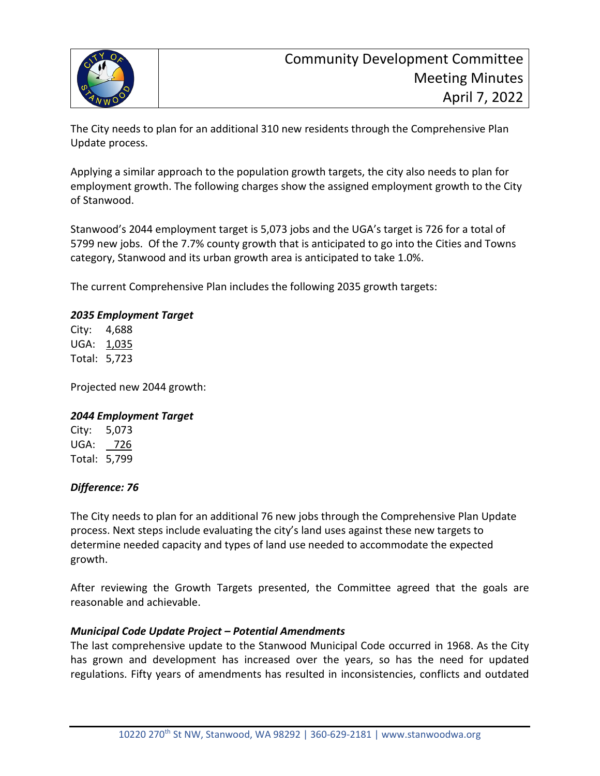

The City needs to plan for an additional 310 new residents through the Comprehensive Plan Update process.

Applying a similar approach to the population growth targets, the city also needs to plan for employment growth. The following charges show the assigned employment growth to the City of Stanwood.

Stanwood's 2044 employment target is 5,073 jobs and the UGA's target is 726 for a total of 5799 new jobs. Of the 7.7% county growth that is anticipated to go into the Cities and Towns category, Stanwood and its urban growth area is anticipated to take 1.0%.

The current Comprehensive Plan includes the following 2035 growth targets:

### *2035 Employment Target*

City: 4,688 UGA: 1,035 Total: 5,723

Projected new 2044 growth:

#### *2044 Employment Target*

City: 5,073 UGA: 726 Total: 5,799

## *Difference: 76*

The City needs to plan for an additional 76 new jobs through the Comprehensive Plan Update process. Next steps include evaluating the city's land uses against these new targets to determine needed capacity and types of land use needed to accommodate the expected growth.

After reviewing the Growth Targets presented, the Committee agreed that the goals are reasonable and achievable.

## *Municipal Code Update Project – Potential Amendments*

The last comprehensive update to the Stanwood Municipal Code occurred in 1968. As the City has grown and development has increased over the years, so has the need for updated regulations. Fifty years of amendments has resulted in inconsistencies, conflicts and outdated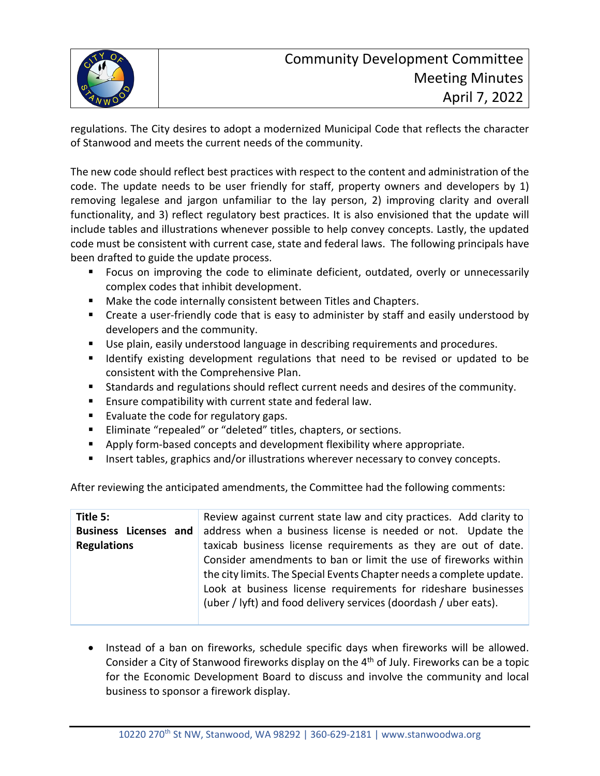

regulations. The City desires to adopt a modernized Municipal Code that reflects the character of Stanwood and meets the current needs of the community.

The new code should reflect best practices with respect to the content and administration of the code. The update needs to be user friendly for staff, property owners and developers by 1) removing legalese and jargon unfamiliar to the lay person, 2) improving clarity and overall functionality, and 3) reflect regulatory best practices. It is also envisioned that the update will include tables and illustrations whenever possible to help convey concepts. Lastly, the updated code must be consistent with current case, state and federal laws. The following principals have been drafted to guide the update process.

- **Figuar** Focus on improving the code to eliminate deficient, outdated, overly or unnecessarily complex codes that inhibit development.
- **Make the code internally consistent between Titles and Chapters.**
- Create a user-friendly code that is easy to administer by staff and easily understood by developers and the community.
- Use plain, easily understood language in describing requirements and procedures.
- **If I** Identify existing development regulations that need to be revised or updated to be consistent with the Comprehensive Plan.
- Standards and regulations should reflect current needs and desires of the community.
- **Ensure compatibility with current state and federal law.**
- Evaluate the code for regulatory gaps.
- **Eliminate "repealed" or "deleted" titles, chapters, or sections.**
- **•** Apply form-based concepts and development flexibility where appropriate.
- **Insert tables, graphics and/or illustrations wherever necessary to convey concepts.**

After reviewing the anticipated amendments, the Committee had the following comments:

| Title 5:                     | Review against current state law and city practices. Add clarity to                                                                                                                                                                                                           |
|------------------------------|-------------------------------------------------------------------------------------------------------------------------------------------------------------------------------------------------------------------------------------------------------------------------------|
| <b>Business Licenses and</b> | address when a business license is needed or not. Update the                                                                                                                                                                                                                  |
| <b>Regulations</b>           | taxicab business license requirements as they are out of date.                                                                                                                                                                                                                |
|                              | Consider amendments to ban or limit the use of fireworks within<br>the city limits. The Special Events Chapter needs a complete update.<br>Look at business license requirements for rideshare businesses<br>(uber / lyft) and food delivery services (doordash / uber eats). |

• Instead of a ban on fireworks, schedule specific days when fireworks will be allowed. Consider a City of Stanwood fireworks display on the 4<sup>th</sup> of July. Fireworks can be a topic for the Economic Development Board to discuss and involve the community and local business to sponsor a firework display.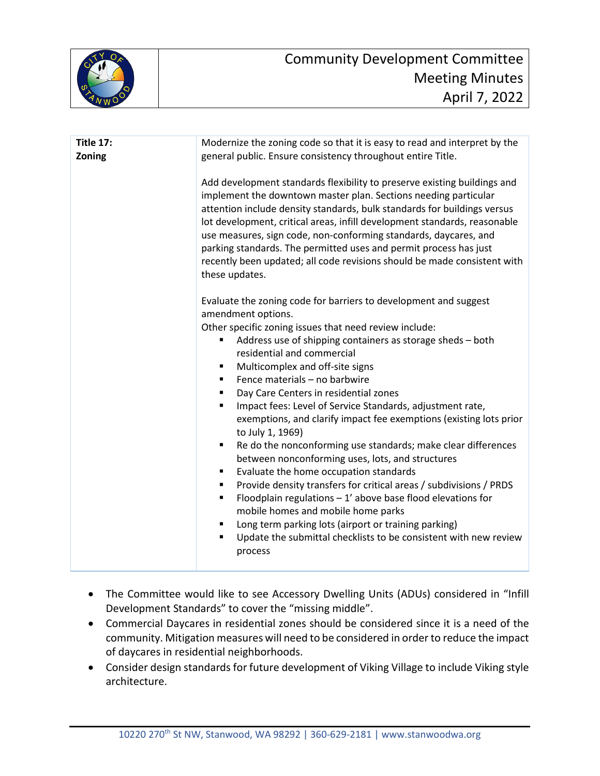

| <b>Title 17:</b><br>Zoning | Modernize the zoning code so that it is easy to read and interpret by the<br>general public. Ensure consistency throughout entire Title.                                                                                                                                                                                                                                                                                                                                                                                                    |
|----------------------------|---------------------------------------------------------------------------------------------------------------------------------------------------------------------------------------------------------------------------------------------------------------------------------------------------------------------------------------------------------------------------------------------------------------------------------------------------------------------------------------------------------------------------------------------|
|                            | Add development standards flexibility to preserve existing buildings and<br>implement the downtown master plan. Sections needing particular<br>attention include density standards, bulk standards for buildings versus<br>lot development, critical areas, infill development standards, reasonable<br>use measures, sign code, non-conforming standards, daycares, and<br>parking standards. The permitted uses and permit process has just<br>recently been updated; all code revisions should be made consistent with<br>these updates. |
|                            | Evaluate the zoning code for barriers to development and suggest<br>amendment options.                                                                                                                                                                                                                                                                                                                                                                                                                                                      |
|                            | Other specific zoning issues that need review include:                                                                                                                                                                                                                                                                                                                                                                                                                                                                                      |
|                            | Address use of shipping containers as storage sheds - both<br>٠<br>residential and commercial                                                                                                                                                                                                                                                                                                                                                                                                                                               |
|                            |                                                                                                                                                                                                                                                                                                                                                                                                                                                                                                                                             |
|                            | Multicomplex and off-site signs<br>٠                                                                                                                                                                                                                                                                                                                                                                                                                                                                                                        |
|                            | Fence materials - no barbwire                                                                                                                                                                                                                                                                                                                                                                                                                                                                                                               |
|                            | Day Care Centers in residential zones<br>٠                                                                                                                                                                                                                                                                                                                                                                                                                                                                                                  |
|                            | Impact fees: Level of Service Standards, adjustment rate,<br>٠<br>exemptions, and clarify impact fee exemptions (existing lots prior<br>to July 1, 1969)                                                                                                                                                                                                                                                                                                                                                                                    |
|                            | Re do the nonconforming use standards; make clear differences<br>٠                                                                                                                                                                                                                                                                                                                                                                                                                                                                          |
|                            | between nonconforming uses, lots, and structures                                                                                                                                                                                                                                                                                                                                                                                                                                                                                            |
|                            | Evaluate the home occupation standards                                                                                                                                                                                                                                                                                                                                                                                                                                                                                                      |
|                            | Provide density transfers for critical areas / subdivisions / PRDS<br>٠                                                                                                                                                                                                                                                                                                                                                                                                                                                                     |
|                            | Floodplain regulations $-1'$ above base flood elevations for<br>٠                                                                                                                                                                                                                                                                                                                                                                                                                                                                           |
|                            | mobile homes and mobile home parks                                                                                                                                                                                                                                                                                                                                                                                                                                                                                                          |
|                            | Long term parking lots (airport or training parking)                                                                                                                                                                                                                                                                                                                                                                                                                                                                                        |
|                            | Update the submittal checklists to be consistent with new review<br>٠<br>process                                                                                                                                                                                                                                                                                                                                                                                                                                                            |
|                            |                                                                                                                                                                                                                                                                                                                                                                                                                                                                                                                                             |

- The Committee would like to see Accessory Dwelling Units (ADUs) considered in "Infill Development Standards" to cover the "missing middle".
- Commercial Daycares in residential zones should be considered since it is a need of the community. Mitigation measures will need to be considered in order to reduce the impact of daycares in residential neighborhoods.
- Consider design standards for future development of Viking Village to include Viking style architecture.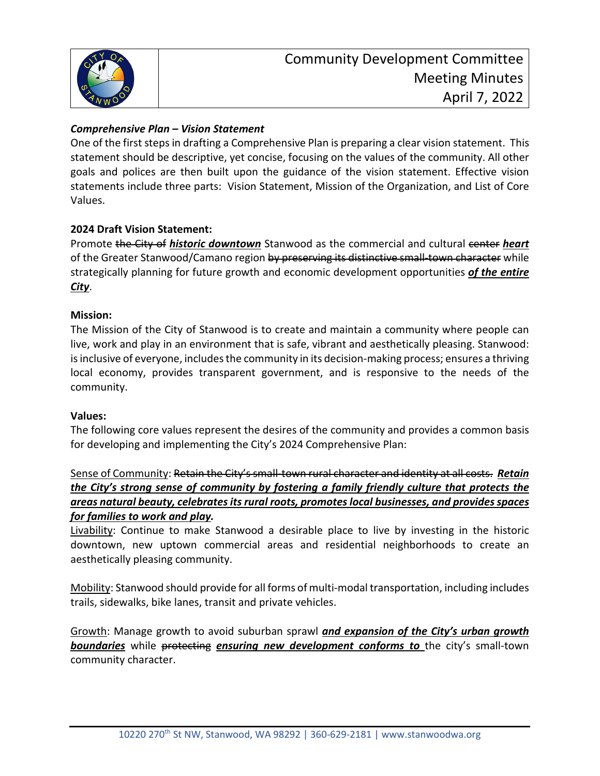

# *Comprehensive Plan – Vision Statement*

One of the first steps in drafting a Comprehensive Plan is preparing a clear vision statement. This statement should be descriptive, yet concise, focusing on the values of the community. All other goals and polices are then built upon the guidance of the vision statement. Effective vision statements include three parts: Vision Statement, Mission of the Organization, and List of Core Values.

### **2024 Draft Vision Statement:**

Promote the City of *historic downtown* Stanwood as the commercial and cultural center *heart* of the Greater Stanwood/Camano region by preserving its distinctive small-town character while strategically planning for future growth and economic development opportunities *of the entire City*.

### **Mission:**

The Mission of the City of Stanwood is to create and maintain a community where people can live, work and play in an environment that is safe, vibrant and aesthetically pleasing. Stanwood: is inclusive of everyone, includes the community in its decision-making process; ensures a thriving local economy, provides transparent government, and is responsive to the needs of the community.

#### **Values:**

The following core values represent the desires of the community and provides a common basis for developing and implementing the City's 2024 Comprehensive Plan:

# Sense of Community: Retain the City's small-town rural character and identity at all costs. *Retain the City's strong sense of community by fostering a family friendly culture that protects the areas natural beauty, celebrates its rural roots, promotes local businesses, and provides spaces for families to work and play.*

Livability: Continue to make Stanwood a desirable place to live by investing in the historic downtown, new uptown commercial areas and residential neighborhoods to create an aesthetically pleasing community.

Mobility: Stanwood should provide for all forms of multi-modal transportation, including includes trails, sidewalks, bike lanes, transit and private vehicles.

Growth: Manage growth to avoid suburban sprawl *and expansion of the City's urban growth*  **boundaries** while protecting ensuring new development conforms to the city's small-town community character.